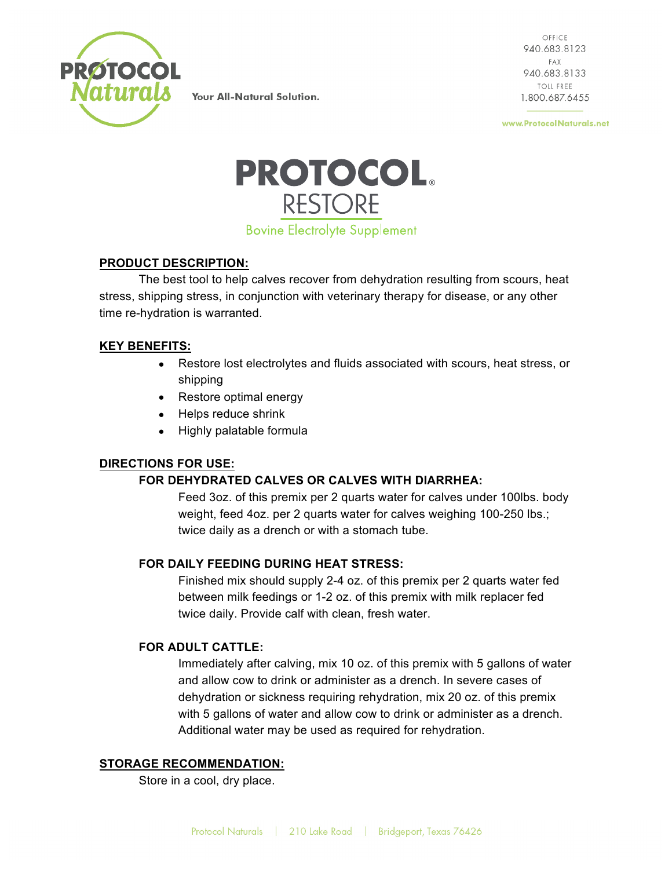

OFFICE 940.683.8123 FAX 940.683.8133 **TOLL FREE** 1.800.687.6455

www.ProtocolNaturals.net



## **PRODUCT DESCRIPTION:**

The best tool to help calves recover from dehydration resulting from scours, heat stress, shipping stress, in conjunction with veterinary therapy for disease, or any other time re-hydration is warranted.

## **KEY BENEFITS:**

- Restore lost electrolytes and fluids associated with scours, heat stress, or shipping
- Restore optimal energy
- Helps reduce shrink
- Highly palatable formula

### **DIRECTIONS FOR USE:**

### **FOR DEHYDRATED CALVES OR CALVES WITH DIARRHEA:**

Feed 3oz. of this premix per 2 quarts water for calves under 100lbs. body weight, feed 4oz. per 2 quarts water for calves weighing 100-250 lbs.; twice daily as a drench or with a stomach tube.

# **FOR DAILY FEEDING DURING HEAT STRESS:**

Finished mix should supply 2-4 oz. of this premix per 2 quarts water fed between milk feedings or 1-2 oz. of this premix with milk replacer fed twice daily. Provide calf with clean, fresh water.

### **FOR ADULT CATTLE:**

Immediately after calving, mix 10 oz. of this premix with 5 gallons of water and allow cow to drink or administer as a drench. In severe cases of dehydration or sickness requiring rehydration, mix 20 oz. of this premix with 5 gallons of water and allow cow to drink or administer as a drench. Additional water may be used as required for rehydration.

### **STORAGE RECOMMENDATION:**

Store in a cool, dry place.